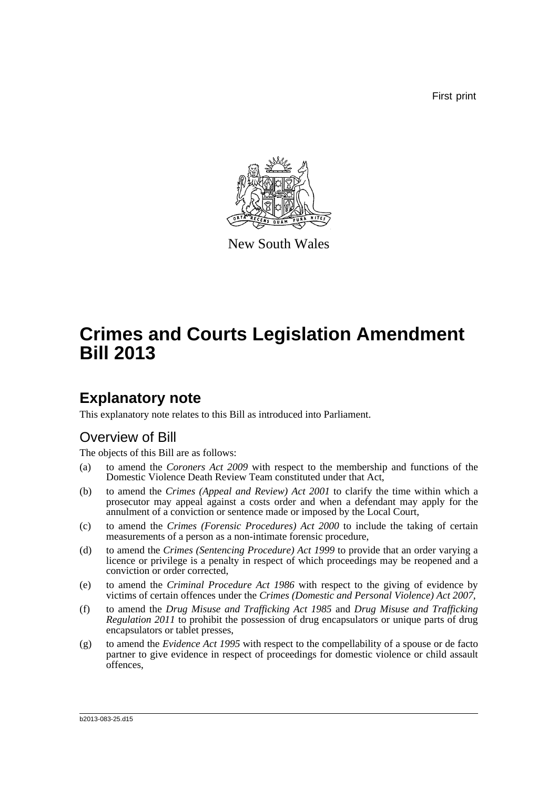First print



New South Wales

# **Crimes and Courts Legislation Amendment Bill 2013**

## **Explanatory note**

This explanatory note relates to this Bill as introduced into Parliament.

## Overview of Bill

The objects of this Bill are as follows:

- (a) to amend the *Coroners Act 2009* with respect to the membership and functions of the Domestic Violence Death Review Team constituted under that Act,
- (b) to amend the *Crimes (Appeal and Review) Act 2001* to clarify the time within which a prosecutor may appeal against a costs order and when a defendant may apply for the annulment of a conviction or sentence made or imposed by the Local Court,
- (c) to amend the *Crimes (Forensic Procedures) Act 2000* to include the taking of certain measurements of a person as a non-intimate forensic procedure,
- (d) to amend the *Crimes (Sentencing Procedure) Act 1999* to provide that an order varying a licence or privilege is a penalty in respect of which proceedings may be reopened and a conviction or order corrected,
- (e) to amend the *Criminal Procedure Act 1986* with respect to the giving of evidence by victims of certain offences under the *Crimes (Domestic and Personal Violence) Act 2007*,
- (f) to amend the *Drug Misuse and Trafficking Act 1985* and *Drug Misuse and Trafficking Regulation 2011* to prohibit the possession of drug encapsulators or unique parts of drug encapsulators or tablet presses,
- (g) to amend the *Evidence Act 1995* with respect to the compellability of a spouse or de facto partner to give evidence in respect of proceedings for domestic violence or child assault offences,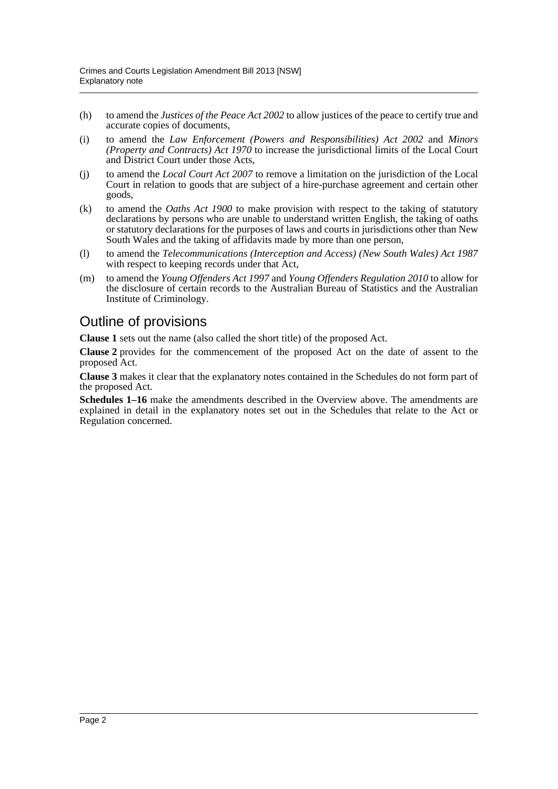- (h) to amend the *Justices of the Peace Act 2002* to allow justices of the peace to certify true and accurate copies of documents,
- (i) to amend the *Law Enforcement (Powers and Responsibilities) Act 2002* and *Minors (Property and Contracts) Act 1970* to increase the jurisdictional limits of the Local Court and District Court under those Acts,
- (j) to amend the *Local Court Act 2007* to remove a limitation on the jurisdiction of the Local Court in relation to goods that are subject of a hire-purchase agreement and certain other goods,
- (k) to amend the *Oaths Act 1900* to make provision with respect to the taking of statutory declarations by persons who are unable to understand written English, the taking of oaths or statutory declarations for the purposes of laws and courts in jurisdictions other than New South Wales and the taking of affidavits made by more than one person,
- (l) to amend the *Telecommunications (Interception and Access) (New South Wales) Act 1987* with respect to keeping records under that Act,
- (m) to amend the *Young Offenders Act 1997* and *Young Offenders Regulation 2010* to allow for the disclosure of certain records to the Australian Bureau of Statistics and the Australian Institute of Criminology.

## Outline of provisions

**Clause 1** sets out the name (also called the short title) of the proposed Act.

**Clause 2** provides for the commencement of the proposed Act on the date of assent to the proposed Act.

**Clause 3** makes it clear that the explanatory notes contained in the Schedules do not form part of the proposed Act.

**Schedules 1–16** make the amendments described in the Overview above. The amendments are explained in detail in the explanatory notes set out in the Schedules that relate to the Act or Regulation concerned.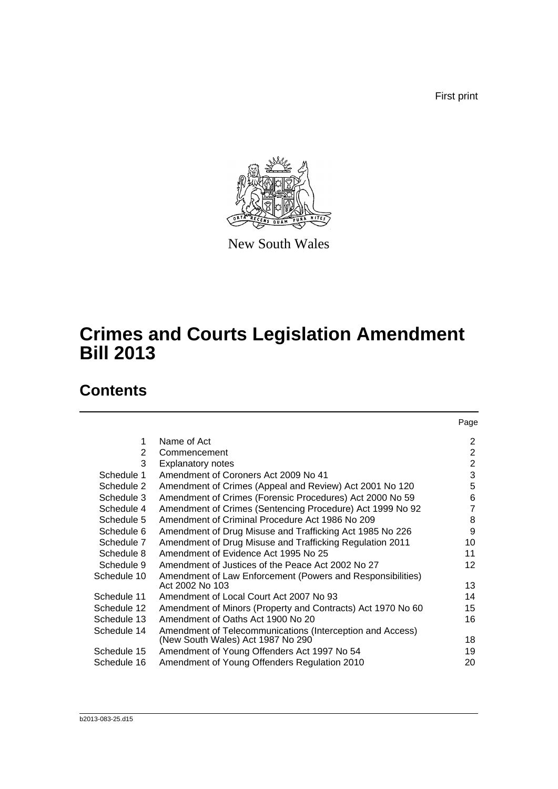First print



New South Wales

# **Crimes and Courts Legislation Amendment Bill 2013**

## **Contents**

|             |                                                             | Page            |
|-------------|-------------------------------------------------------------|-----------------|
| 1           | Name of Act                                                 | 2               |
| 2           | Commencement                                                | $\overline{2}$  |
| 3           | <b>Explanatory notes</b>                                    | $\overline{2}$  |
| Schedule 1  | Amendment of Coroners Act 2009 No 41                        | 3               |
| Schedule 2  | Amendment of Crimes (Appeal and Review) Act 2001 No 120     | 5               |
| Schedule 3  | Amendment of Crimes (Forensic Procedures) Act 2000 No 59    | 6               |
| Schedule 4  | Amendment of Crimes (Sentencing Procedure) Act 1999 No 92   | 7               |
| Schedule 5  | Amendment of Criminal Procedure Act 1986 No 209             | 8               |
| Schedule 6  | Amendment of Drug Misuse and Trafficking Act 1985 No 226    | 9               |
| Schedule 7  | Amendment of Drug Misuse and Trafficking Regulation 2011    | 10              |
| Schedule 8  | Amendment of Evidence Act 1995 No 25                        | 11              |
| Schedule 9  | Amendment of Justices of the Peace Act 2002 No 27           | 12 <sup>2</sup> |
| Schedule 10 | Amendment of Law Enforcement (Powers and Responsibilities)  |                 |
|             | Act 2002 No 103                                             | 13              |
| Schedule 11 | Amendment of Local Court Act 2007 No 93                     | 14              |
| Schedule 12 | Amendment of Minors (Property and Contracts) Act 1970 No 60 | 15              |
| Schedule 13 | Amendment of Oaths Act 1900 No 20                           | 16              |
| Schedule 14 | Amendment of Telecommunications (Interception and Access)   |                 |
|             | (New South Wales) Act 1987 No 290                           | 18              |
| Schedule 15 | Amendment of Young Offenders Act 1997 No 54                 | 19              |
| Schedule 16 | Amendment of Young Offenders Regulation 2010                | 20              |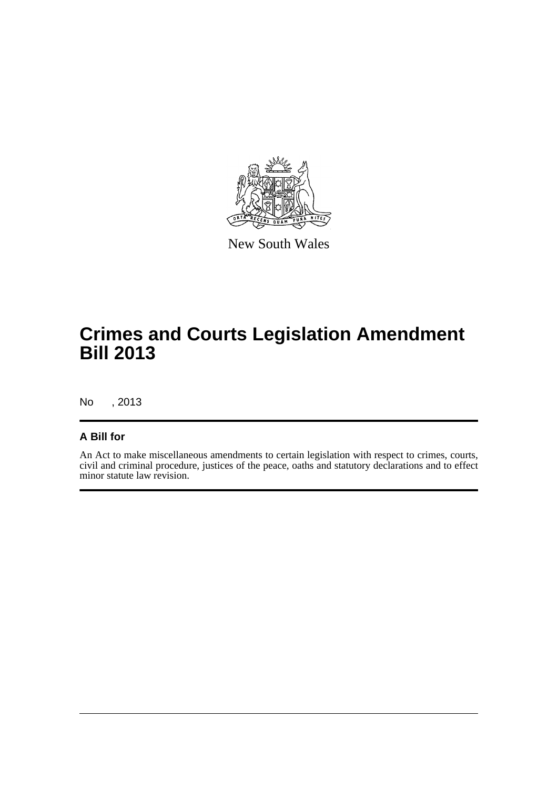

New South Wales

# **Crimes and Courts Legislation Amendment Bill 2013**

No , 2013

### **A Bill for**

An Act to make miscellaneous amendments to certain legislation with respect to crimes, courts, civil and criminal procedure, justices of the peace, oaths and statutory declarations and to effect minor statute law revision.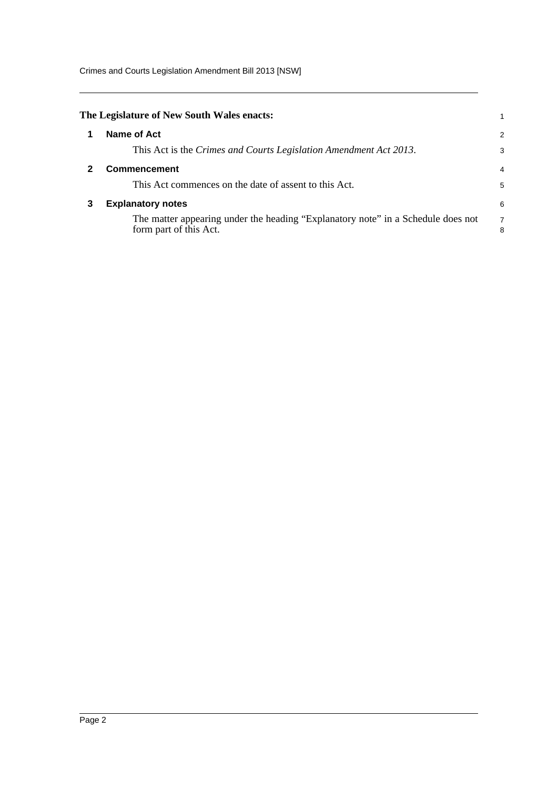Crimes and Courts Legislation Amendment Bill 2013 [NSW]

<span id="page-4-2"></span><span id="page-4-1"></span><span id="page-4-0"></span>

|   | The Legislature of New South Wales enacts:                                                                 |        |
|---|------------------------------------------------------------------------------------------------------------|--------|
|   | Name of Act                                                                                                | 2      |
|   | This Act is the Crimes and Courts Legislation Amendment Act 2013.                                          | 3      |
|   | <b>Commencement</b>                                                                                        | 4      |
|   | This Act commences on the date of assent to this Act.                                                      | 5      |
| 3 | <b>Explanatory notes</b>                                                                                   | 6      |
|   | The matter appearing under the heading "Explanatory note" in a Schedule does not<br>form part of this Act. | 7<br>8 |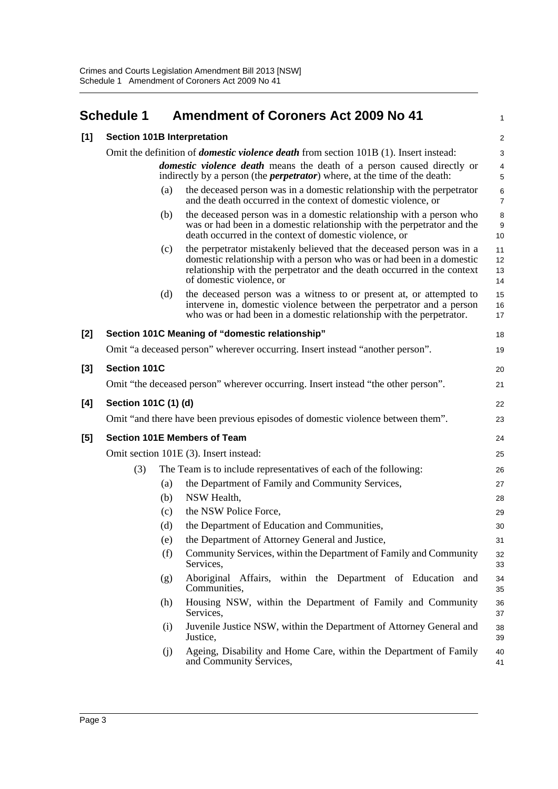## <span id="page-5-0"></span>**Schedule 1 Amendment of Coroners Act 2009 No 41**

|          | Schedule 1           |     | <b>Amendment of Coroners Act 2009 No 41</b>                                                                                                                                                                                                           | 1                            |
|----------|----------------------|-----|-------------------------------------------------------------------------------------------------------------------------------------------------------------------------------------------------------------------------------------------------------|------------------------------|
| [1]      |                      |     | <b>Section 101B Interpretation</b>                                                                                                                                                                                                                    | 2                            |
|          |                      |     | Omit the definition of <i>domestic violence death</i> from section 101B (1). Insert instead:                                                                                                                                                          | 3                            |
|          |                      |     | <i>domestic violence death</i> means the death of a person caused directly or<br>indirectly by a person (the <i>perpetrator</i> ) where, at the time of the death:                                                                                    | $\overline{\mathbf{4}}$<br>5 |
|          |                      | (a) | the deceased person was in a domestic relationship with the perpetrator<br>and the death occurred in the context of domestic violence, or                                                                                                             | 6<br>$\overline{7}$          |
|          |                      | (b) | the deceased person was in a domestic relationship with a person who<br>was or had been in a domestic relationship with the perpetrator and the<br>death occurred in the context of domestic violence, or                                             | 8<br>$\boldsymbol{9}$<br>10  |
|          |                      | (c) | the perpetrator mistakenly believed that the deceased person was in a<br>domestic relationship with a person who was or had been in a domestic<br>relationship with the perpetrator and the death occurred in the context<br>of domestic violence, or | 11<br>12<br>13<br>14         |
|          |                      | (d) | the deceased person was a witness to or present at, or attempted to<br>intervene in, domestic violence between the perpetrator and a person<br>who was or had been in a domestic relationship with the perpetrator.                                   | 15<br>16<br>17               |
| [2]      |                      |     | Section 101C Meaning of "domestic relationship"                                                                                                                                                                                                       | 18                           |
|          |                      |     | Omit "a deceased person" wherever occurring. Insert instead "another person".                                                                                                                                                                         | 19                           |
| $^{[3]}$ | Section 101C         |     |                                                                                                                                                                                                                                                       | 20                           |
|          |                      |     | Omit "the deceased person" wherever occurring. Insert instead "the other person".                                                                                                                                                                     | 21                           |
| [4]      | Section 101C (1) (d) |     |                                                                                                                                                                                                                                                       | 22                           |
|          |                      |     | Omit "and there have been previous episodes of domestic violence between them".                                                                                                                                                                       | 23                           |
| [5]      |                      |     | <b>Section 101E Members of Team</b>                                                                                                                                                                                                                   | 24                           |
|          |                      |     | Omit section 101E (3). Insert instead:                                                                                                                                                                                                                | 25                           |
|          | (3)                  |     | The Team is to include representatives of each of the following:                                                                                                                                                                                      | 26                           |
|          |                      | (a) | the Department of Family and Community Services,                                                                                                                                                                                                      | 27                           |
|          |                      | (b) | NSW Health,                                                                                                                                                                                                                                           | 28                           |
|          |                      | (c) | the NSW Police Force,                                                                                                                                                                                                                                 | 29                           |
|          |                      | (d) | the Department of Education and Communities,                                                                                                                                                                                                          | 30                           |
|          |                      | (e) | the Department of Attorney General and Justice,                                                                                                                                                                                                       | 31                           |
|          |                      | (f) | Community Services, within the Department of Family and Community<br>Services,                                                                                                                                                                        | 32<br>33                     |
|          |                      | (g) | Aboriginal Affairs, within the Department of Education and<br>Communities,                                                                                                                                                                            | 34<br>35                     |
|          |                      | (h) | Housing NSW, within the Department of Family and Community<br>Services,                                                                                                                                                                               | 36<br>37                     |
|          |                      | (i) | Juvenile Justice NSW, within the Department of Attorney General and<br>Justice,                                                                                                                                                                       | 38<br>39                     |
|          |                      | (j) | Ageing, Disability and Home Care, within the Department of Family<br>and Community Services,                                                                                                                                                          | 40<br>41                     |
|          |                      |     |                                                                                                                                                                                                                                                       |                              |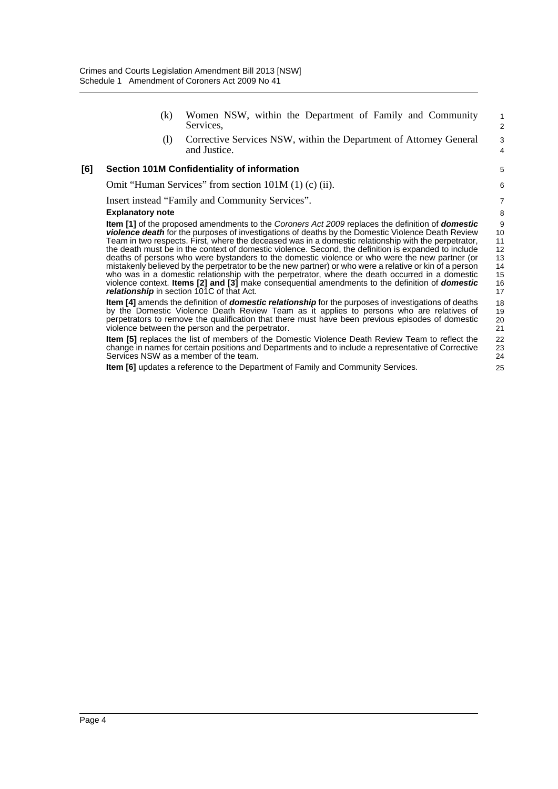|     | (k)                     | Women NSW, within the Department of Family and Community<br>Services,                                                                                                                                                                                                                                                                                                                                                                                                                                                                                                                                                                                                                                                                                                                                                                                                                                      | $\mathbf{1}$<br>$\overline{2}$                    |  |  |
|-----|-------------------------|------------------------------------------------------------------------------------------------------------------------------------------------------------------------------------------------------------------------------------------------------------------------------------------------------------------------------------------------------------------------------------------------------------------------------------------------------------------------------------------------------------------------------------------------------------------------------------------------------------------------------------------------------------------------------------------------------------------------------------------------------------------------------------------------------------------------------------------------------------------------------------------------------------|---------------------------------------------------|--|--|
|     | (1)                     | Corrective Services NSW, within the Department of Attorney General<br>and Justice.                                                                                                                                                                                                                                                                                                                                                                                                                                                                                                                                                                                                                                                                                                                                                                                                                         | 3<br>4                                            |  |  |
| [6] |                         | <b>Section 101M Confidentiality of information</b>                                                                                                                                                                                                                                                                                                                                                                                                                                                                                                                                                                                                                                                                                                                                                                                                                                                         | 5                                                 |  |  |
|     |                         | Omit "Human Services" from section $101M(1)$ (c) (ii).                                                                                                                                                                                                                                                                                                                                                                                                                                                                                                                                                                                                                                                                                                                                                                                                                                                     | 6                                                 |  |  |
|     |                         | Insert instead "Family and Community Services".                                                                                                                                                                                                                                                                                                                                                                                                                                                                                                                                                                                                                                                                                                                                                                                                                                                            | $\overline{7}$                                    |  |  |
|     | <b>Explanatory note</b> |                                                                                                                                                                                                                                                                                                                                                                                                                                                                                                                                                                                                                                                                                                                                                                                                                                                                                                            |                                                   |  |  |
|     |                         | <b>Item [1]</b> of the proposed amendments to the Coroners Act 2009 replaces the definition of <b>domestic</b><br><b>violence death</b> for the purposes of investigations of deaths by the Domestic Violence Death Review<br>Team in two respects. First, where the deceased was in a domestic relationship with the perpetrator,<br>the death must be in the context of domestic violence. Second, the definition is expanded to include<br>deaths of persons who were bystanders to the domestic violence or who were the new partner (or<br>mistakenly believed by the perpetrator to be the new partner) or who were a relative or kin of a person<br>who was in a domestic relationship with the perpetrator, where the death occurred in a domestic<br>violence context. Items [2] and [3] make consequential amendments to the definition of domestic<br>relationship in section 101C of that Act. | 9<br>10<br>11<br>12<br>13<br>14<br>15<br>16<br>17 |  |  |
|     |                         | <b>Item [4]</b> amends the definition of <b>domestic relationship</b> for the purposes of investigations of deaths<br>by the Domestic Violence Death Review Team as it applies to persons who are relatives of<br>perpetrators to remove the qualification that there must have been previous episodes of domestic<br>violence between the person and the perpetrator.                                                                                                                                                                                                                                                                                                                                                                                                                                                                                                                                     | 18<br>19<br>20<br>21                              |  |  |
|     |                         | <b>Item [5]</b> replaces the list of members of the Domestic Violence Death Review Team to reflect the<br>change in names for certain positions and Departments and to include a representative of Corrective<br>Services NSW as a member of the team.                                                                                                                                                                                                                                                                                                                                                                                                                                                                                                                                                                                                                                                     | 22<br>23<br>24                                    |  |  |

25

**Item [6]** updates a reference to the Department of Family and Community Services.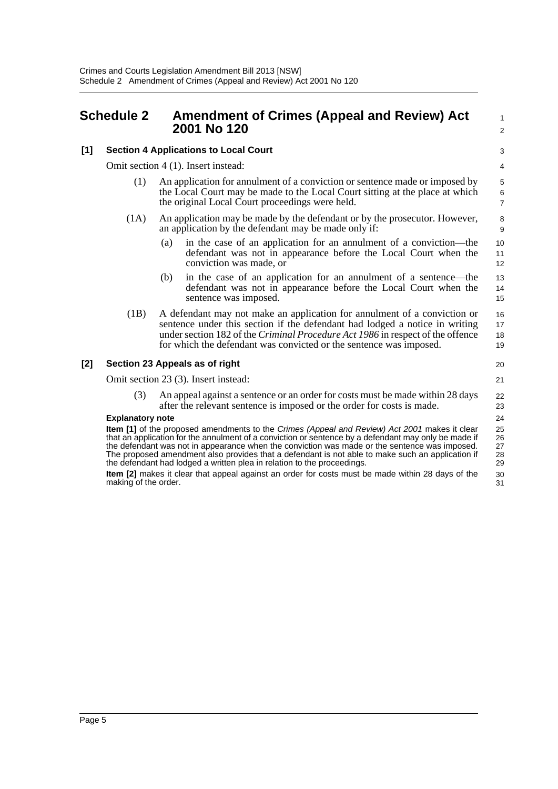### <span id="page-7-0"></span>**Schedule 2 Amendment of Crimes (Appeal and Review) Act 2001 No 120**

#### **[1] Section 4 Applications to Local Court**

Omit section 4 (1). Insert instead:

- (1) An application for annulment of a conviction or sentence made or imposed by the Local Court may be made to the Local Court sitting at the place at which the original Local Court proceedings were held.
- (1A) An application may be made by the defendant or by the prosecutor. However, an application by the defendant may be made only if:
	- (a) in the case of an application for an annulment of a conviction—the defendant was not in appearance before the Local Court when the conviction was made, or
	- (b) in the case of an application for an annulment of a sentence—the defendant was not in appearance before the Local Court when the sentence was imposed.
- (1B) A defendant may not make an application for annulment of a conviction or sentence under this section if the defendant had lodged a notice in writing under section 182 of the *Criminal Procedure Act 1986* in respect of the offence for which the defendant was convicted or the sentence was imposed.

#### **[2] Section 23 Appeals as of right**

Omit section 23 (3). Insert instead:

21

20

22 23 24

31

1  $\overline{2}$ 

(3) An appeal against a sentence or an order for costs must be made within 28 days after the relevant sentence is imposed or the order for costs is made.

#### **Explanatory note**

**Item [1]** of the proposed amendments to the *Crimes (Appeal and Review) Act 2001* makes it clear that an application for the annulment of a conviction or sentence by a defendant may only be made if the defendant was not in appearance when the conviction was made or the sentence was imposed. The proposed amendment also provides that a defendant is not able to make such an application if the defendant had lodged a written plea in relation to the proceedings. 25 26 27 28 29 30

**Item [2]** makes it clear that appeal against an order for costs must be made within 28 days of the making of the order.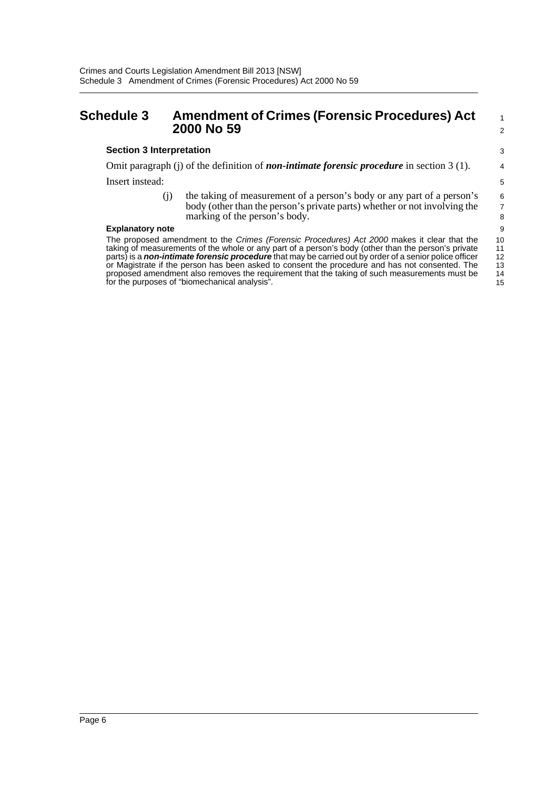### <span id="page-8-0"></span>**Schedule 3 Amendment of Crimes (Forensic Procedures) Act 2000 No 59**

#### **Section 3 Interpretation**

Omit paragraph (j) of the definition of *non-intimate forensic procedure* in section 3 (1). Insert instead:

> (j) the taking of measurement of a person's body or any part of a person's body (other than the person's private parts) whether or not involving the marking of the person's body.

1 2

#### **Explanatory note**

The proposed amendment to the *Crimes (Forensic Procedures) Act 2000* makes it clear that the taking of measurements of the whole or any part of a person's body (other than the person's private parts) is a *non-intimate forensic procedure* that may be carried out by order of a senior police officer or Magistrate if the person has been asked to consent the procedure and has not consented. The proposed amendment also removes the requirement that the taking of such measurements must be for the purposes of "biomechanical analysis". 10 11 12 13 14 15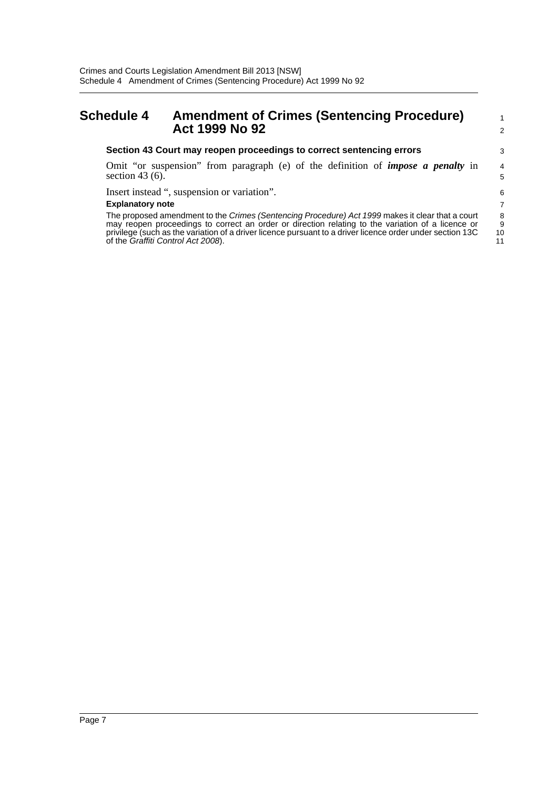## <span id="page-9-0"></span>**Schedule 4 Amendment of Crimes (Sentencing Procedure) Act 1999 No 92**

#### **Section 43 Court may reopen proceedings to correct sentencing errors**

Omit "or suspension" from paragraph (e) of the definition of *impose a penalty* in section 43 $(6)$ .

Insert instead ", suspension or variation".

#### **Explanatory note**

The proposed amendment to the *Crimes (Sentencing Procedure) Act 1999* makes it clear that a court may reopen proceedings to correct an order or direction relating to the variation of a licence or privilege (such as the variation of a driver licence pursuant to a driver licence order under section 13C of the *Graffiti Control Act 2008*).

11

1 2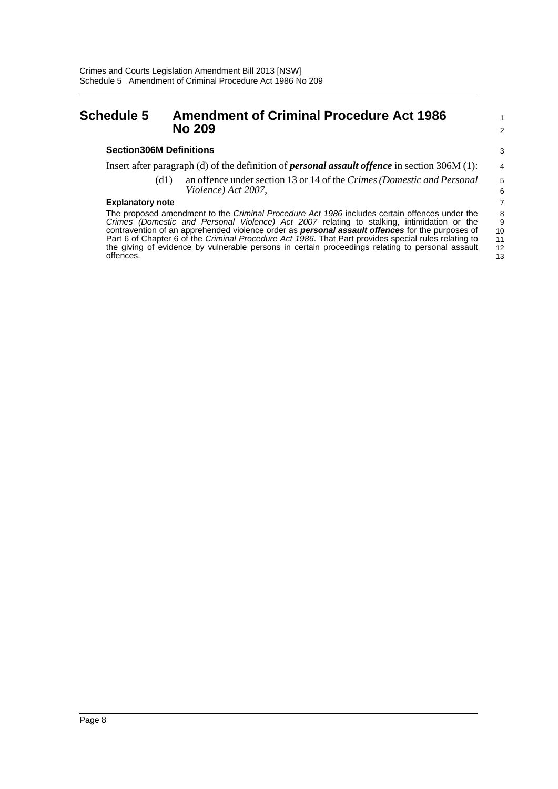### <span id="page-10-0"></span>**Schedule 5 Amendment of Criminal Procedure Act 1986 No 209**

11 12 13

### Insert after paragraph (d) of the definition of *personal assault offence* in section 306M (1):

(d1) an offence under section 13 or 14 of the *Crimes (Domestic and Personal Violence) Act 2007*,

#### **Explanatory note**

**Section306M Definitions**

The proposed amendment to the *Criminal Procedure Act 1986* includes certain offences under the *Crimes (Domestic and Personal Violence) Act 2007* relating to stalking, intimidation or the contravention of an apprehended violence order as *personal assault offences* for the purposes of Part 6 of Chapter 6 of the *Criminal Procedure Act 1986*. That Part provides special rules relating to the giving of evidence by vulnerable persons in certain proceedings relating to personal assault offences.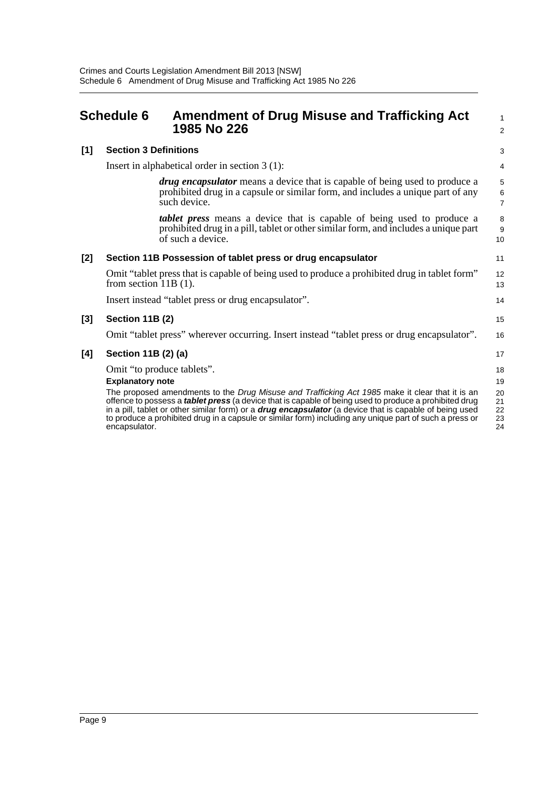<span id="page-11-0"></span>

|       | <b>Schedule 6</b>            | <b>Amendment of Drug Misuse and Trafficking Act</b><br>1985 No 226                                                                                                                                                                                                                                                                                                                                                                            | $\mathbf{1}$<br>2          |
|-------|------------------------------|-----------------------------------------------------------------------------------------------------------------------------------------------------------------------------------------------------------------------------------------------------------------------------------------------------------------------------------------------------------------------------------------------------------------------------------------------|----------------------------|
| [1]   | <b>Section 3 Definitions</b> |                                                                                                                                                                                                                                                                                                                                                                                                                                               | 3                          |
|       |                              | Insert in alphabetical order in section $3(1)$ :                                                                                                                                                                                                                                                                                                                                                                                              | $\overline{4}$             |
|       |                              | <i>drug encapsulator</i> means a device that is capable of being used to produce a<br>prohibited drug in a capsule or similar form, and includes a unique part of any<br>such device.                                                                                                                                                                                                                                                         | 5<br>6<br>$\overline{7}$   |
|       |                              | <i>tablet press</i> means a device that is capable of being used to produce a<br>prohibited drug in a pill, tablet or other similar form, and includes a unique part<br>of such a device.                                                                                                                                                                                                                                                     | 8<br>9<br>10               |
| [2]   |                              | Section 11B Possession of tablet press or drug encapsulator                                                                                                                                                                                                                                                                                                                                                                                   | 11                         |
|       | from section $11B(1)$ .      | Omit "tablet press that is capable of being used to produce a prohibited drug in tablet form"                                                                                                                                                                                                                                                                                                                                                 | 12<br>13                   |
|       |                              | Insert instead "tablet press or drug encapsulator".                                                                                                                                                                                                                                                                                                                                                                                           | 14                         |
| $[3]$ | Section 11B (2)              |                                                                                                                                                                                                                                                                                                                                                                                                                                               | 15                         |
|       |                              | Omit "tablet press" wherever occurring. Insert instead "tablet press or drug encapsulator".                                                                                                                                                                                                                                                                                                                                                   | 16                         |
| [4]   | Section 11B (2) (a)          |                                                                                                                                                                                                                                                                                                                                                                                                                                               | 17                         |
|       |                              | Omit "to produce tablets".                                                                                                                                                                                                                                                                                                                                                                                                                    | 18                         |
|       | <b>Explanatory note</b>      |                                                                                                                                                                                                                                                                                                                                                                                                                                               | 19                         |
|       | encapsulator.                | The proposed amendments to the Drug Misuse and Trafficking Act 1985 make it clear that it is an<br>offence to possess a <i>tablet press</i> (a device that is capable of being used to produce a prohibited drug<br>in a pill, tablet or other similar form) or a <b>drug encapsulator</b> (a device that is capable of being used<br>to produce a prohibited drug in a capsule or similar form) including any unique part of such a press or | 20<br>21<br>22<br>23<br>24 |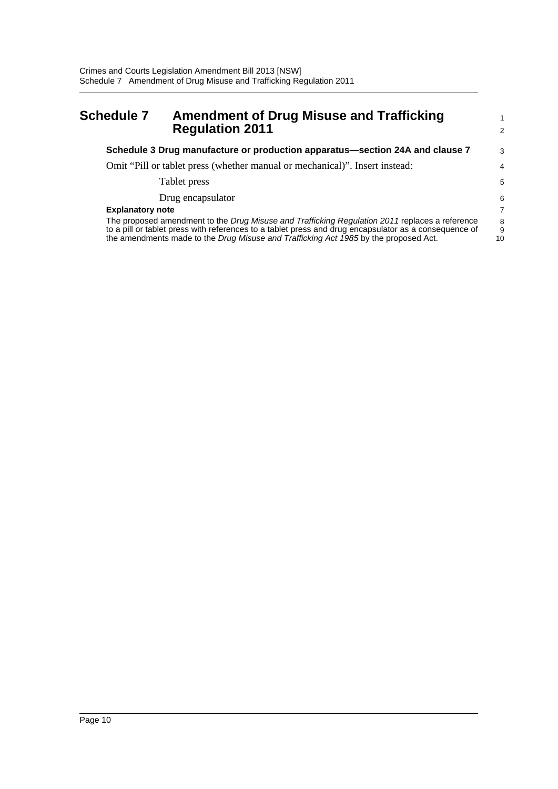## <span id="page-12-0"></span>**Schedule 7 Amendment of Drug Misuse and Trafficking Regulation 2011**

| Schedule 3 Drug manufacture or production apparatus—section 24A and clause 7                                                                                                                                                                                                                    | 3              |
|-------------------------------------------------------------------------------------------------------------------------------------------------------------------------------------------------------------------------------------------------------------------------------------------------|----------------|
| Omit "Pill or tablet press (whether manual or mechanical)". Insert instead:                                                                                                                                                                                                                     | 4              |
| Tablet press                                                                                                                                                                                                                                                                                    | 5              |
| Drug encapsulator                                                                                                                                                                                                                                                                               | 6              |
| <b>Explanatory note</b>                                                                                                                                                                                                                                                                         | $\overline{7}$ |
| The proposed amendment to the Drug Misuse and Trafficking Regulation 2011 replaces a reference<br>to a pill or tablet press with references to a tablet press and drug encapsulator as a consequence of<br>the amendments made to the Drug Misuse and Trafficking Act 1985 by the proposed Act. | 8<br>9<br>10   |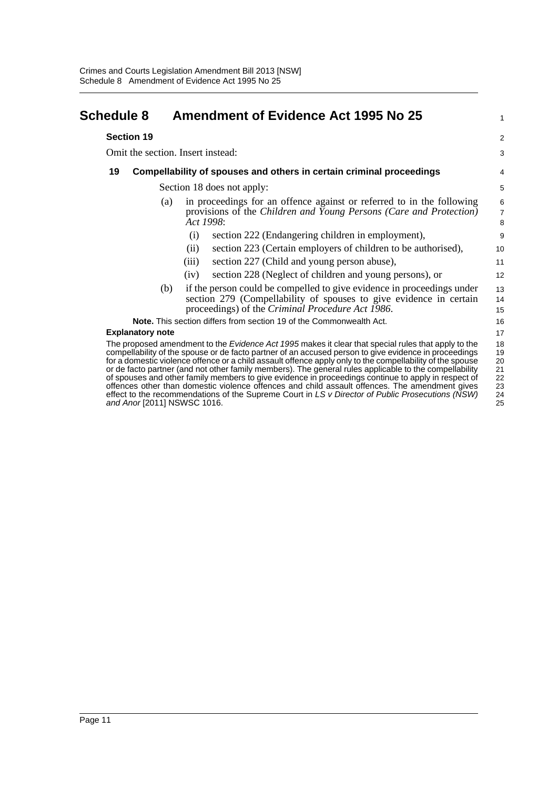<span id="page-13-0"></span>

| <b>Schedule 8</b>       |     | <b>Amendment of Evidence Act 1995 No 25</b>                                                                                                                                                                                                                                                                                                                                                                                                                                                                                                                                                                                                                                                                                                                                            | 1                                            |
|-------------------------|-----|----------------------------------------------------------------------------------------------------------------------------------------------------------------------------------------------------------------------------------------------------------------------------------------------------------------------------------------------------------------------------------------------------------------------------------------------------------------------------------------------------------------------------------------------------------------------------------------------------------------------------------------------------------------------------------------------------------------------------------------------------------------------------------------|----------------------------------------------|
| <b>Section 19</b>       |     |                                                                                                                                                                                                                                                                                                                                                                                                                                                                                                                                                                                                                                                                                                                                                                                        | $\overline{2}$                               |
|                         |     | Omit the section. Insert instead:                                                                                                                                                                                                                                                                                                                                                                                                                                                                                                                                                                                                                                                                                                                                                      | 3                                            |
| 19                      |     | Compellability of spouses and others in certain criminal proceedings                                                                                                                                                                                                                                                                                                                                                                                                                                                                                                                                                                                                                                                                                                                   | 4                                            |
|                         |     | Section 18 does not apply:                                                                                                                                                                                                                                                                                                                                                                                                                                                                                                                                                                                                                                                                                                                                                             | 5                                            |
|                         | (a) | in proceedings for an offence against or referred to in the following<br>provisions of the Children and Young Persons (Care and Protection)<br>Act 1998:                                                                                                                                                                                                                                                                                                                                                                                                                                                                                                                                                                                                                               | $\,6$<br>$\overline{7}$<br>8                 |
|                         |     | section 222 (Endangering children in employment),<br>(i)                                                                                                                                                                                                                                                                                                                                                                                                                                                                                                                                                                                                                                                                                                                               | 9                                            |
|                         |     | section 223 (Certain employers of children to be authorised),<br>(ii)                                                                                                                                                                                                                                                                                                                                                                                                                                                                                                                                                                                                                                                                                                                  | 10                                           |
|                         |     | section 227 (Child and young person abuse),<br>(iii)                                                                                                                                                                                                                                                                                                                                                                                                                                                                                                                                                                                                                                                                                                                                   | 11                                           |
|                         |     | section 228 (Neglect of children and young persons), or<br>(iv)                                                                                                                                                                                                                                                                                                                                                                                                                                                                                                                                                                                                                                                                                                                        | 12                                           |
|                         | (b) | if the person could be compelled to give evidence in proceedings under<br>section 279 (Compellability of spouses to give evidence in certain<br>proceedings) of the Criminal Procedure Act 1986.                                                                                                                                                                                                                                                                                                                                                                                                                                                                                                                                                                                       | 13<br>14<br>15                               |
|                         |     | <b>Note.</b> This section differs from section 19 of the Commonwealth Act.                                                                                                                                                                                                                                                                                                                                                                                                                                                                                                                                                                                                                                                                                                             | 16                                           |
| <b>Explanatory note</b> |     |                                                                                                                                                                                                                                                                                                                                                                                                                                                                                                                                                                                                                                                                                                                                                                                        | 17                                           |
|                         |     | The proposed amendment to the <i>Evidence Act 1995</i> makes it clear that special rules that apply to the<br>compellability of the spouse or de facto partner of an accused person to give evidence in proceedings<br>for a domestic violence offence or a child assault offence apply only to the compellability of the spouse<br>or de facto partner (and not other family members). The general rules applicable to the compellability<br>of spouses and other family members to give evidence in proceedings continue to apply in respect of<br>offences other than domestic violence offences and child assault offences. The amendment gives<br>effect to the recommendations of the Supreme Court in LS v Director of Public Prosecutions (NSW)<br>and Anor [2011] NSWSC 1016. | 18<br>19<br>20<br>21<br>22<br>23<br>24<br>25 |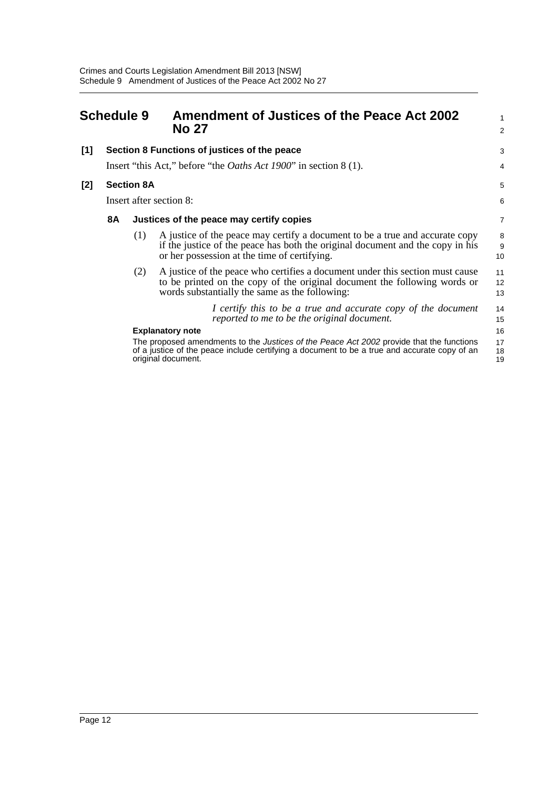<span id="page-14-0"></span>

| <b>Schedule 9</b> |                         |                   | <b>Amendment of Justices of the Peace Act 2002</b><br><b>No 27</b>                                                                                                                                                                               | 1<br>$\overline{a}$  |
|-------------------|-------------------------|-------------------|--------------------------------------------------------------------------------------------------------------------------------------------------------------------------------------------------------------------------------------------------|----------------------|
| [1]               |                         |                   | Section 8 Functions of justices of the peace                                                                                                                                                                                                     | 3                    |
|                   |                         |                   | Insert "this Act," before "the <i>Oaths Act 1900</i> " in section 8 (1).                                                                                                                                                                         | 4                    |
| [2]               |                         | <b>Section 8A</b> |                                                                                                                                                                                                                                                  | 5                    |
|                   | Insert after section 8: |                   |                                                                                                                                                                                                                                                  | 6                    |
|                   | 8A                      |                   | Justices of the peace may certify copies                                                                                                                                                                                                         | 7                    |
|                   |                         | (1)               | A justice of the peace may certify a document to be a true and accurate copy<br>if the justice of the peace has both the original document and the copy in his<br>or her possession at the time of certifying.                                   | 8<br>9<br>10         |
|                   |                         | (2)               | A justice of the peace who certifies a document under this section must cause<br>to be printed on the copy of the original document the following words or<br>words substantially the same as the following:                                     | 11<br>12<br>13       |
|                   |                         |                   | I certify this to be a true and accurate copy of the document<br>reported to me to be the original document.                                                                                                                                     | 14<br>15             |
|                   |                         |                   | <b>Explanatory note</b><br>The proposed amendments to the <i>Justices of the Peace Act 2002</i> provide that the functions<br>of a justice of the peace include certifying a document to be a true and accurate copy of an<br>original document. | 16<br>17<br>18<br>19 |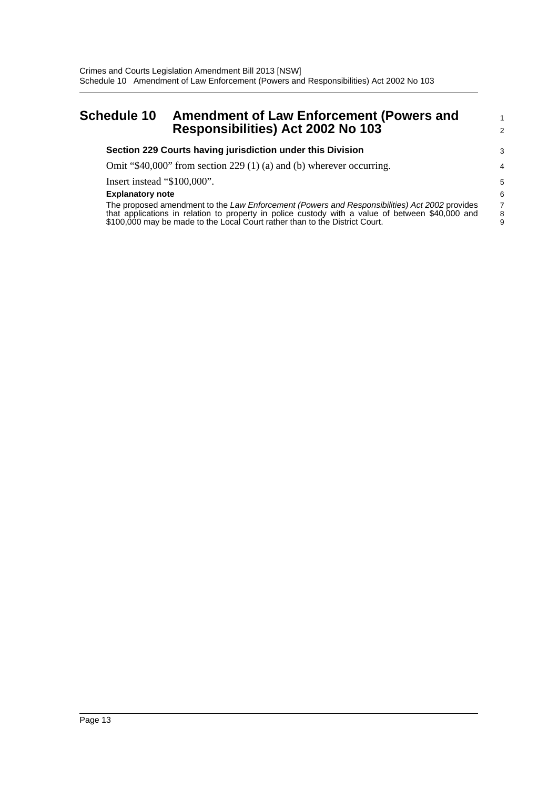## <span id="page-15-0"></span>**Schedule 10 Amendment of Law Enforcement (Powers and Responsibilities) Act 2002 No 103**

| Section 229 Courts having jurisdiction under this Division                                       | 3              |
|--------------------------------------------------------------------------------------------------|----------------|
| Omit "\$40,000" from section 229 (1) (a) and (b) wherever occurring.                             | 4              |
| Insert instead "\$100,000".                                                                      | .5             |
| <b>Explanatory note</b>                                                                          | 6              |
| The proposed amendment to the Law Enforcement (Powers and Responsibilities) Act 2002 provides    | $\overline{7}$ |
| that applications in relation to property in police custody with a value of between \$40,000 and | 8              |
| \$100,000 may be made to the Local Court rather than to the District Court.                      | 9              |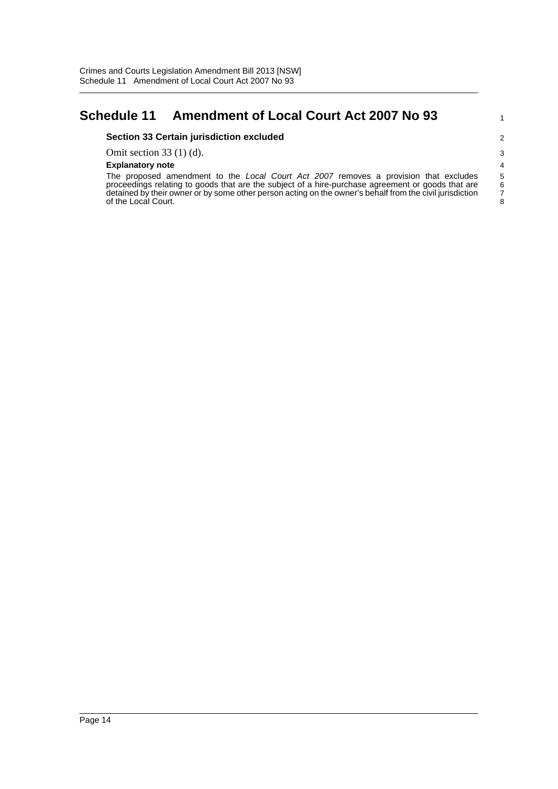## <span id="page-16-0"></span>**Schedule 11 Amendment of Local Court Act 2007 No 93**

#### **Section 33 Certain jurisdiction excluded**

Omit section 33 (1) (d).

#### **Explanatory note**

The proposed amendment to the *Local Court Act 2007* removes a provision that excludes proceedings relating to goods that are the subject of a hire-purchase agreement or goods that are detained by their owner or by some other person acting on the owner's behalf from the civil jurisdiction of the Local Court.

 $\frac{6}{7}$ 8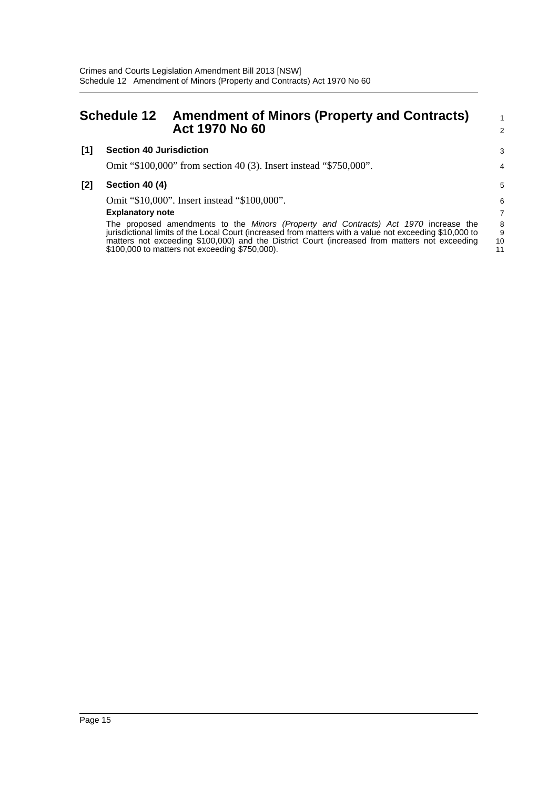<span id="page-17-0"></span>

|       | <b>Schedule 12</b>             | <b>Amendment of Minors (Property and Contracts)</b><br><b>Act 1970 No 60</b>                                                                                                                                                                                                                                                                       | 1<br>2             |
|-------|--------------------------------|----------------------------------------------------------------------------------------------------------------------------------------------------------------------------------------------------------------------------------------------------------------------------------------------------------------------------------------------------|--------------------|
| [1]   | <b>Section 40 Jurisdiction</b> |                                                                                                                                                                                                                                                                                                                                                    | 3                  |
|       |                                | Omit "\$100,000" from section 40 (3). Insert instead "\$750,000".                                                                                                                                                                                                                                                                                  | 4                  |
| $[2]$ | <b>Section 40 (4)</b>          |                                                                                                                                                                                                                                                                                                                                                    | 5                  |
|       |                                | Omit "\$10,000". Insert instead "\$100,000".                                                                                                                                                                                                                                                                                                       | 6                  |
|       | <b>Explanatory note</b>        |                                                                                                                                                                                                                                                                                                                                                    | $\overline{7}$     |
|       |                                | The proposed amendments to the Minors (Property and Contracts) Act 1970 increase the<br>jurisdictional limits of the Local Court (increased from matters with a value not exceeding \$10,000 to<br>matters not exceeding \$100,000) and the District Court (increased from matters not exceeding<br>\$100,000 to matters not exceeding \$750,000). | 8<br>9<br>10<br>11 |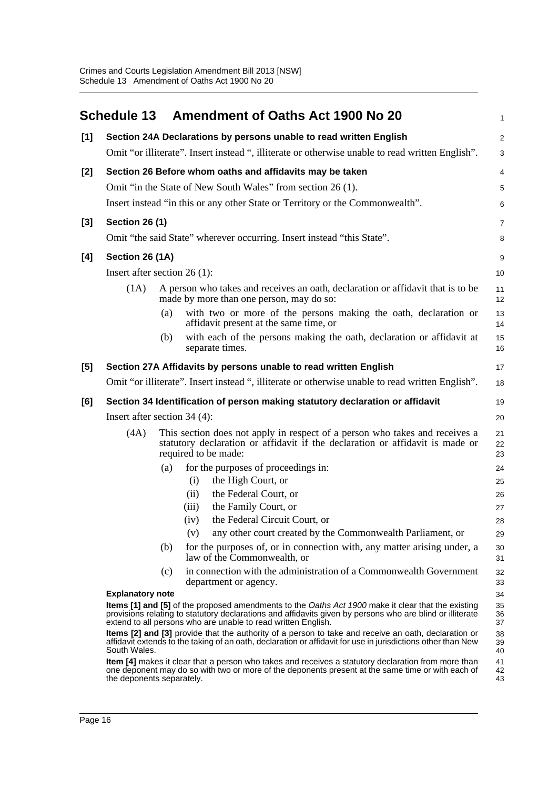<span id="page-18-0"></span>

|       |                                                                                                                                                                                              |     |       | Schedule 13 Amendment of Oaths Act 1900 No 20                                                                                                                                                                                                                                    | 1              |
|-------|----------------------------------------------------------------------------------------------------------------------------------------------------------------------------------------------|-----|-------|----------------------------------------------------------------------------------------------------------------------------------------------------------------------------------------------------------------------------------------------------------------------------------|----------------|
| [1]   |                                                                                                                                                                                              |     |       | Section 24A Declarations by persons unable to read written English                                                                                                                                                                                                               | 2              |
|       |                                                                                                                                                                                              |     |       | Omit "or illiterate". Insert instead ", illiterate or otherwise unable to read written English".                                                                                                                                                                                 | 3              |
| [2]   |                                                                                                                                                                                              |     |       | Section 26 Before whom oaths and affidavits may be taken                                                                                                                                                                                                                         | $\overline{4}$ |
|       |                                                                                                                                                                                              |     |       | Omit "in the State of New South Wales" from section 26 (1).                                                                                                                                                                                                                      | 5              |
|       |                                                                                                                                                                                              |     |       | Insert instead "in this or any other State or Territory or the Commonwealth".                                                                                                                                                                                                    | 6              |
| $[3]$ | <b>Section 26 (1)</b>                                                                                                                                                                        |     |       |                                                                                                                                                                                                                                                                                  | $\overline{7}$ |
|       |                                                                                                                                                                                              |     |       | Omit "the said State" wherever occurring. Insert instead "this State".                                                                                                                                                                                                           | 8              |
| [4]   | Section 26 (1A)                                                                                                                                                                              |     |       |                                                                                                                                                                                                                                                                                  | 9              |
|       | Insert after section $26(1)$ :                                                                                                                                                               |     |       |                                                                                                                                                                                                                                                                                  | 10             |
|       | (1A)                                                                                                                                                                                         |     |       | A person who takes and receives an oath, declaration or affidavit that is to be<br>made by more than one person, may do so:                                                                                                                                                      | 11<br>12       |
|       |                                                                                                                                                                                              | (a) |       | with two or more of the persons making the oath, declaration or<br>affidavit present at the same time, or                                                                                                                                                                        | 13<br>14       |
|       |                                                                                                                                                                                              | (b) |       | with each of the persons making the oath, declaration or affidavit at<br>separate times.                                                                                                                                                                                         | 15<br>16       |
| [5]   |                                                                                                                                                                                              |     |       | Section 27A Affidavits by persons unable to read written English                                                                                                                                                                                                                 | 17             |
|       |                                                                                                                                                                                              |     |       | Omit "or illiterate". Insert instead ", illiterate or otherwise unable to read written English".                                                                                                                                                                                 | 18             |
| [6]   | Section 34 Identification of person making statutory declaration or affidavit                                                                                                                |     |       |                                                                                                                                                                                                                                                                                  |                |
|       | Insert after section 34 (4):                                                                                                                                                                 |     |       |                                                                                                                                                                                                                                                                                  | 20             |
|       | This section does not apply in respect of a person who takes and receives a<br>(4A)<br>statutory declaration or affidavit if the declaration or affidavit is made or<br>required to be made: |     |       |                                                                                                                                                                                                                                                                                  | 21<br>22<br>23 |
|       |                                                                                                                                                                                              | (a) |       | for the purposes of proceedings in:                                                                                                                                                                                                                                              | 24             |
|       |                                                                                                                                                                                              |     | (i)   | the High Court, or                                                                                                                                                                                                                                                               | 25             |
|       |                                                                                                                                                                                              |     | (ii)  | the Federal Court, or                                                                                                                                                                                                                                                            | 26             |
|       |                                                                                                                                                                                              |     | (iii) | the Family Court, or                                                                                                                                                                                                                                                             | 27             |
|       |                                                                                                                                                                                              |     | (iv)  | the Federal Circuit Court, or                                                                                                                                                                                                                                                    | 28             |
|       |                                                                                                                                                                                              |     | (v)   | any other court created by the Commonwealth Parliament, or                                                                                                                                                                                                                       | 29             |
|       |                                                                                                                                                                                              | (b) |       | for the purposes of, or in connection with, any matter arising under, a<br>law of the Commonwealth, or                                                                                                                                                                           | 30<br>31       |
|       |                                                                                                                                                                                              | (c) |       | in connection with the administration of a Commonwealth Government<br>department or agency.                                                                                                                                                                                      | 32<br>33       |
|       | <b>Explanatory note</b>                                                                                                                                                                      |     |       |                                                                                                                                                                                                                                                                                  | 34             |
|       |                                                                                                                                                                                              |     |       | Items [1] and [5] of the proposed amendments to the Oaths Act 1900 make it clear that the existing<br>provisions relating to statutory declarations and affidavits given by persons who are blind or illiterate<br>extend to all persons who are unable to read written English. | 35<br>36<br>37 |
|       | South Wales.                                                                                                                                                                                 |     |       | Items [2] and [3] provide that the authority of a person to take and receive an oath, declaration or<br>affidavit extends to the taking of an oath, declaration or affidavit for use in jurisdictions other than New                                                             | 38<br>39<br>40 |
|       | the deponents separately.                                                                                                                                                                    |     |       | Item [4] makes it clear that a person who takes and receives a statutory declaration from more than<br>one deponent may do so with two or more of the deponents present at the same time or with each of                                                                         | 41<br>42<br>43 |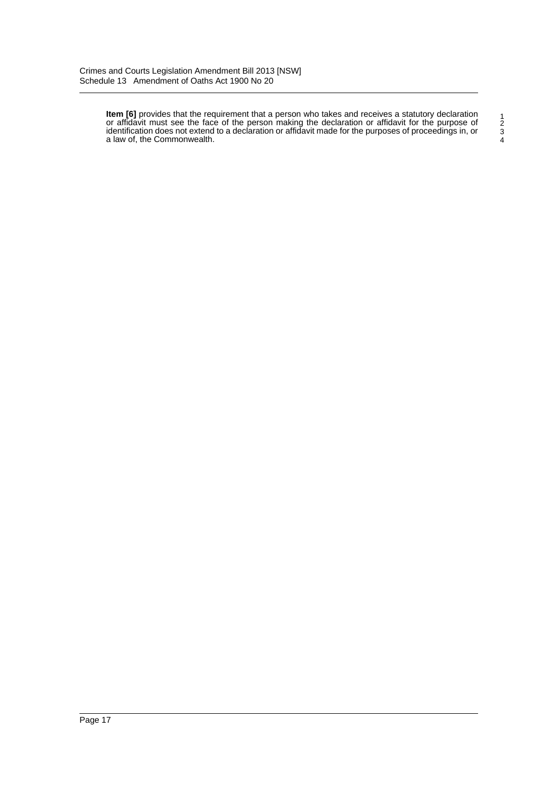**Item [6]** provides that the requirement that a person who takes and receives a statutory declaration or affidavit must see the face of the person making the declaration or affidavit for the purpose of identification does not extend to a declaration or affidavit made for the purposes of proceedings in, or a law of, the Commonwealth.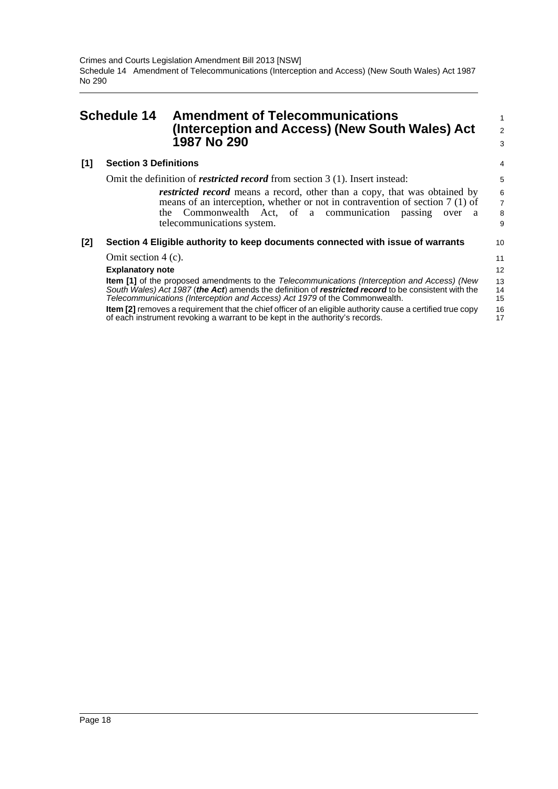<span id="page-20-0"></span>

| <b>Schedule 14</b> |                              | <b>Amendment of Telecommunications</b><br>(Interception and Access) (New South Wales) Act<br>1987 No 290                                                                                                                                                                                                                                                                                                                                                                                       |                            |
|--------------------|------------------------------|------------------------------------------------------------------------------------------------------------------------------------------------------------------------------------------------------------------------------------------------------------------------------------------------------------------------------------------------------------------------------------------------------------------------------------------------------------------------------------------------|----------------------------|
| [1]                | <b>Section 3 Definitions</b> |                                                                                                                                                                                                                                                                                                                                                                                                                                                                                                | 4                          |
|                    |                              | Omit the definition of <i>restricted record</i> from section 3 (1). Insert instead:                                                                                                                                                                                                                                                                                                                                                                                                            | 5                          |
|                    |                              | <i>restricted record</i> means a record, other than a copy, that was obtained by<br>means of an interception, whether or not in contravention of section $7(1)$ of<br>the Commonwealth Act, of a communication<br>passing<br>over a<br>telecommunications system.                                                                                                                                                                                                                              | $\frac{6}{7}$<br>8<br>9    |
| [2]                |                              | Section 4 Eligible authority to keep documents connected with issue of warrants                                                                                                                                                                                                                                                                                                                                                                                                                | 10                         |
|                    | Omit section $4(c)$ .        |                                                                                                                                                                                                                                                                                                                                                                                                                                                                                                | 11                         |
|                    | <b>Explanatory note</b>      |                                                                                                                                                                                                                                                                                                                                                                                                                                                                                                | 12                         |
|                    |                              | <b>Item [1]</b> of the proposed amendments to the Telecommunications (Interception and Access) (New<br>South Wales) Act 1987 (the Act) amends the definition of restricted record to be consistent with the<br>Telecommunications (Interception and Access) Act 1979 of the Commonwealth.<br><b>Item [2]</b> removes a requirement that the chief officer of an eligible authority cause a certified true copy<br>of each instrument revoking a warrant to be kept in the authority's records. | 13<br>14<br>15<br>16<br>17 |
|                    |                              |                                                                                                                                                                                                                                                                                                                                                                                                                                                                                                |                            |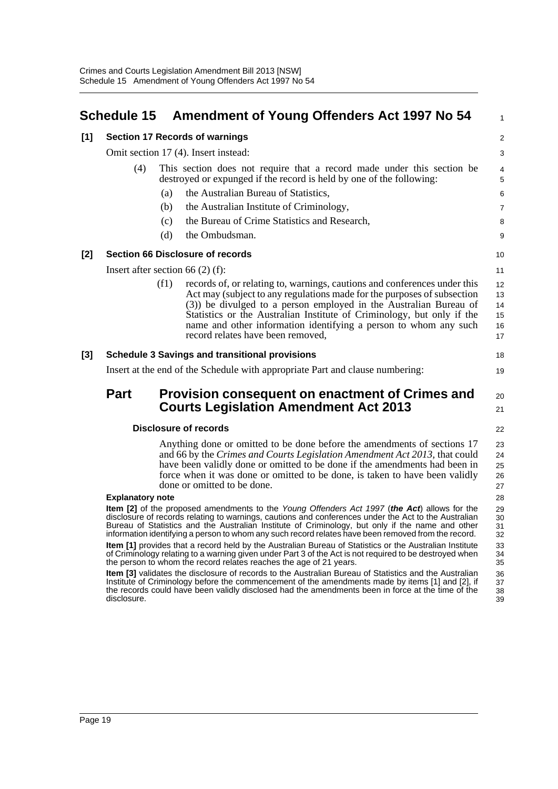<span id="page-21-0"></span>

|       | <b>Schedule 15</b>                                                                                                                                                                                                                                                                                                                                     |                                                                                                                                                | <b>Amendment of Young Offenders Act 1997 No 54</b>                                                                                                                                                                                                                                                                                                                                                                                                        | $\mathbf{1}$                                 |
|-------|--------------------------------------------------------------------------------------------------------------------------------------------------------------------------------------------------------------------------------------------------------------------------------------------------------------------------------------------------------|------------------------------------------------------------------------------------------------------------------------------------------------|-----------------------------------------------------------------------------------------------------------------------------------------------------------------------------------------------------------------------------------------------------------------------------------------------------------------------------------------------------------------------------------------------------------------------------------------------------------|----------------------------------------------|
| $[1]$ | <b>Section 17 Records of warnings</b>                                                                                                                                                                                                                                                                                                                  |                                                                                                                                                |                                                                                                                                                                                                                                                                                                                                                                                                                                                           | 2                                            |
|       | Omit section 17 (4). Insert instead:                                                                                                                                                                                                                                                                                                                   |                                                                                                                                                |                                                                                                                                                                                                                                                                                                                                                                                                                                                           | 3                                            |
|       | (4)                                                                                                                                                                                                                                                                                                                                                    | This section does not require that a record made under this section be<br>destroyed or expunged if the record is held by one of the following: |                                                                                                                                                                                                                                                                                                                                                                                                                                                           | $\overline{4}$<br>5                          |
|       |                                                                                                                                                                                                                                                                                                                                                        | (a)                                                                                                                                            | the Australian Bureau of Statistics,                                                                                                                                                                                                                                                                                                                                                                                                                      | 6                                            |
|       |                                                                                                                                                                                                                                                                                                                                                        | (b)                                                                                                                                            | the Australian Institute of Criminology,                                                                                                                                                                                                                                                                                                                                                                                                                  | $\overline{7}$                               |
|       |                                                                                                                                                                                                                                                                                                                                                        | (c)                                                                                                                                            | the Bureau of Crime Statistics and Research,                                                                                                                                                                                                                                                                                                                                                                                                              | 8                                            |
|       |                                                                                                                                                                                                                                                                                                                                                        | (d)                                                                                                                                            | the Ombudsman.                                                                                                                                                                                                                                                                                                                                                                                                                                            | 9                                            |
| [2]   | <b>Section 66 Disclosure of records</b>                                                                                                                                                                                                                                                                                                                |                                                                                                                                                |                                                                                                                                                                                                                                                                                                                                                                                                                                                           | 10                                           |
|       | Insert after section 66 $(2)$ (f):                                                                                                                                                                                                                                                                                                                     |                                                                                                                                                |                                                                                                                                                                                                                                                                                                                                                                                                                                                           |                                              |
|       |                                                                                                                                                                                                                                                                                                                                                        | (f1)                                                                                                                                           | records of, or relating to, warnings, cautions and conferences under this<br>Act may (subject to any regulations made for the purposes of subsection<br>(3)) be divulged to a person employed in the Australian Bureau of<br>Statistics or the Australian Institute of Criminology, but only if the<br>name and other information identifying a person to whom any such<br>record relates have been removed,                                              | 12<br>13<br>14<br>15<br>16<br>17             |
| $[3]$ | <b>Schedule 3 Savings and transitional provisions</b>                                                                                                                                                                                                                                                                                                  |                                                                                                                                                |                                                                                                                                                                                                                                                                                                                                                                                                                                                           | 18                                           |
|       | Insert at the end of the Schedule with appropriate Part and clause numbering:                                                                                                                                                                                                                                                                          |                                                                                                                                                |                                                                                                                                                                                                                                                                                                                                                                                                                                                           |                                              |
|       | <b>Part</b>                                                                                                                                                                                                                                                                                                                                            |                                                                                                                                                | <b>Provision consequent on enactment of Crimes and</b><br><b>Courts Legislation Amendment Act 2013</b>                                                                                                                                                                                                                                                                                                                                                    | 20<br>21                                     |
|       | <b>Disclosure of records</b>                                                                                                                                                                                                                                                                                                                           |                                                                                                                                                |                                                                                                                                                                                                                                                                                                                                                                                                                                                           | 22                                           |
|       | <b>Explanatory note</b>                                                                                                                                                                                                                                                                                                                                |                                                                                                                                                | Anything done or omitted to be done before the amendments of sections 17<br>and 66 by the Crimes and Courts Legislation Amendment Act 2013, that could<br>have been validly done or omitted to be done if the amendments had been in<br>force when it was done or omitted to be done, is taken to have been validly<br>done or omitted to be done.<br><b>Item [2]</b> of the proposed amendments to the Young Offenders Act 1997 (the Act) allows for the | 23<br>24<br>25<br>26<br>27<br>28<br>29<br>30 |
|       | disclosure of records relating to warnings, cautions and conferences under the Act to the Australian<br>Bureau of Statistics and the Australian Institute of Criminology, but only if the name and other<br>information identifying a person to whom any such record relates have been removed from the record.                                        |                                                                                                                                                |                                                                                                                                                                                                                                                                                                                                                                                                                                                           |                                              |
|       | <b>Item [1]</b> provides that a record held by the Australian Bureau of Statistics or the Australian Institute<br>of Criminology relating to a warning given under Part 3 of the Act is not required to be destroyed when<br>the person to whom the record relates reaches the age of 21 years.                                                        |                                                                                                                                                |                                                                                                                                                                                                                                                                                                                                                                                                                                                           |                                              |
|       | Item [3] validates the disclosure of records to the Australian Bureau of Statistics and the Australian<br>36<br>Institute of Criminology before the commencement of the amendments made by items [1] and [2], if<br>37<br>the records could have been validly disclosed had the amendments been in force at the time of the<br>38<br>disclosure.<br>39 |                                                                                                                                                |                                                                                                                                                                                                                                                                                                                                                                                                                                                           |                                              |